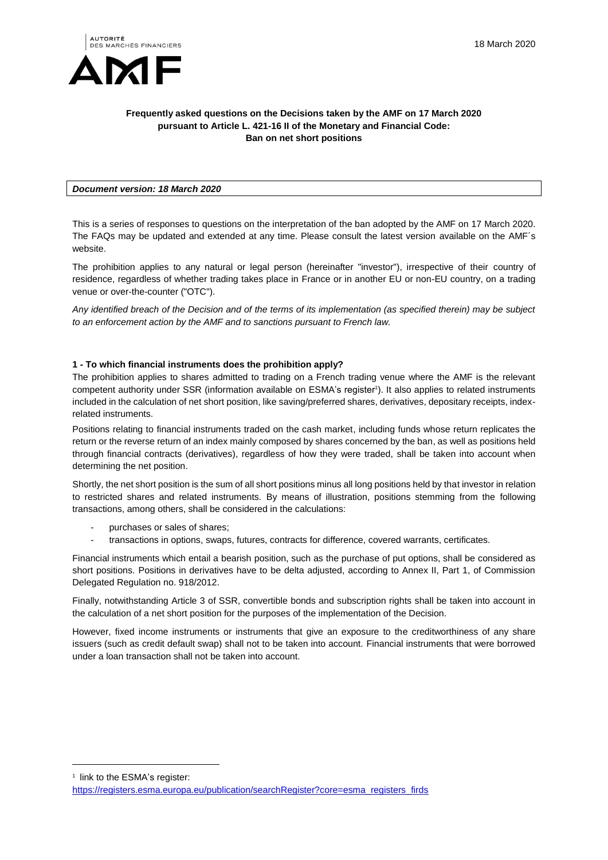

### **Frequently asked questions on the Decisions taken by the AMF on 17 March 2020 pursuant to Article L. 421-16 II of the Monetary and Financial Code: Ban on net short positions**

### *Document version: 18 March 2020*

This is a series of responses to questions on the interpretation of the ban adopted by the AMF on 17 March 2020. The FAQs may be updated and extended at any time. Please consult the latest version available on the AMF´s website.

The prohibition applies to any natural or legal person (hereinafter "investor"), irrespective of their country of residence, regardless of whether trading takes place in France or in another EU or non-EU country, on a trading venue or over-the-counter ("OTC").

*Any identified breach of the Decision and of the terms of its implementation (as specified therein) may be subject to an enforcement action by the AMF and to sanctions pursuant to French law.*

### **1 - To which financial instruments does the prohibition apply?**

The prohibition applies to shares admitted to trading on a French trading venue where the AMF is the relevant competent authority under SSR (information available on ESMA's register<sup>1</sup>). It also applies to related instruments included in the calculation of net short position, like saving/preferred shares, derivatives, depositary receipts, indexrelated instruments.

Positions relating to financial instruments traded on the cash market, including funds whose return replicates the return or the reverse return of an index mainly composed by shares concerned by the ban, as well as positions held through financial contracts (derivatives), regardless of how they were traded, shall be taken into account when determining the net position.

Shortly, the net short position is the sum of all short positions minus all long positions held by that investor in relation to restricted shares and related instruments. By means of illustration, positions stemming from the following transactions, among others, shall be considered in the calculations:

- purchases or sales of shares;
- transactions in options, swaps, futures, contracts for difference, covered warrants, certificates.

Financial instruments which entail a bearish position, such as the purchase of put options, shall be considered as short positions. Positions in derivatives have to be delta adjusted, according to Annex II, Part 1, of Commission Delegated Regulation no. 918/2012.

Finally, notwithstanding Article 3 of SSR, convertible bonds and subscription rights shall be taken into account in the calculation of a net short position for the purposes of the implementation of the Decision.

However, fixed income instruments or instruments that give an exposure to the creditworthiness of any share issuers (such as credit default swap) shall not to be taken into account. Financial instruments that were borrowed under a loan transaction shall not be taken into account.

1 link to the ESMA's register:

l

[https://registers.esma.europa.eu/publication/searchRegister?core=esma\\_registers\\_firds](https://registers.esma.europa.eu/publication/searchRegister?core=esma_registers_firds)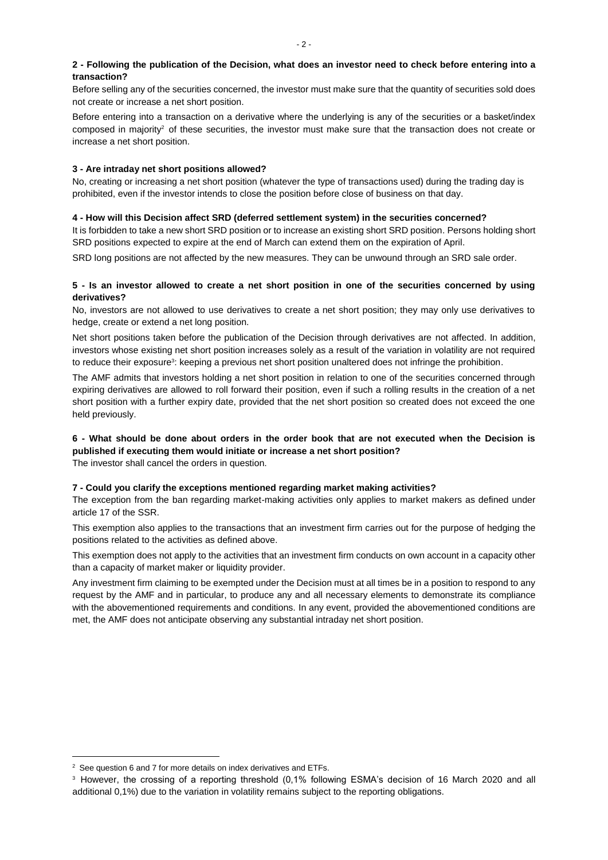## **2 - Following the publication of the Decision, what does an investor need to check before entering into a transaction?**

Before selling any of the securities concerned, the investor must make sure that the quantity of securities sold does not create or increase a net short position.

Before entering into a transaction on a derivative where the underlying is any of the securities or a basket/index composed in majority<sup>2</sup> of these securities, the investor must make sure that the transaction does not create or increase a net short position.

## **3 - Are intraday net short positions allowed?**

No, creating or increasing a net short position (whatever the type of transactions used) during the trading day is prohibited, even if the investor intends to close the position before close of business on that day.

## **4 - How will this Decision affect SRD (deferred settlement system) in the securities concerned?**

It is forbidden to take a new short SRD position or to increase an existing short SRD position. Persons holding short SRD positions expected to expire at the end of March can extend them on the expiration of April.

SRD long positions are not affected by the new measures. They can be unwound through an SRD sale order.

## **5 - Is an investor allowed to create a net short position in one of the securities concerned by using derivatives?**

No, investors are not allowed to use derivatives to create a net short position; they may only use derivatives to hedge, create or extend a net long position.

Net short positions taken before the publication of the Decision through derivatives are not affected. In addition, investors whose existing net short position increases solely as a result of the variation in volatility are not required to reduce their exposure<sup>3</sup>: keeping a previous net short position unaltered does not infringe the prohibition.

The AMF admits that investors holding a net short position in relation to one of the securities concerned through expiring derivatives are allowed to roll forward their position, even if such a rolling results in the creation of a net short position with a further expiry date, provided that the net short position so created does not exceed the one held previously.

# **6 - What should be done about orders in the order book that are not executed when the Decision is published if executing them would initiate or increase a net short position?**

The investor shall cancel the orders in question.

## **7 - Could you clarify the exceptions mentioned regarding market making activities?**

The exception from the ban regarding market-making activities only applies to market makers as defined under article 17 of the SSR.

This exemption also applies to the transactions that an investment firm carries out for the purpose of hedging the positions related to the activities as defined above.

This exemption does not apply to the activities that an investment firm conducts on own account in a capacity other than a capacity of market maker or liquidity provider.

Any investment firm claiming to be exempted under the Decision must at all times be in a position to respond to any request by the AMF and in particular, to produce any and all necessary elements to demonstrate its compliance with the abovementioned requirements and conditions. In any event, provided the abovementioned conditions are met, the AMF does not anticipate observing any substantial intraday net short position.

 $\overline{a}$ 

 $2$  See question 6 and 7 for more details on index derivatives and ETFs.

<sup>3</sup> However, the crossing of a reporting threshold (0,1% following ESMA's decision of 16 March 2020 and all additional 0,1%) due to the variation in volatility remains subject to the reporting obligations.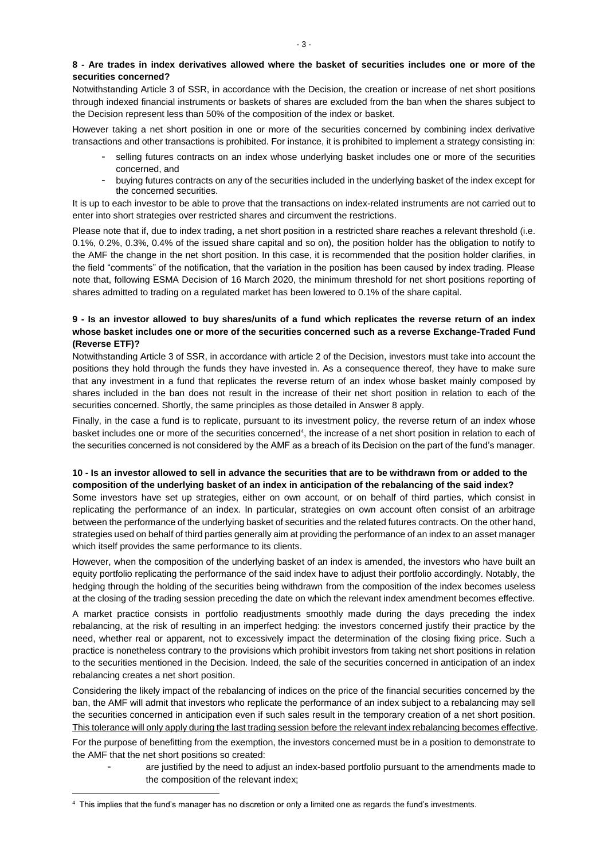Notwithstanding Article 3 of SSR, in accordance with the Decision, the creation or increase of net short positions through indexed financial instruments or baskets of shares are excluded from the ban when the shares subject to the Decision represent less than 50% of the composition of the index or basket.

However taking a net short position in one or more of the securities concerned by combining index derivative transactions and other transactions is prohibited. For instance, it is prohibited to implement a strategy consisting in:

- selling futures contracts on an index whose underlying basket includes one or more of the securities concerned, and
- buying futures contracts on any of the securities included in the underlying basket of the index except for the concerned securities.

It is up to each investor to be able to prove that the transactions on index-related instruments are not carried out to enter into short strategies over restricted shares and circumvent the restrictions.

Please note that if, due to index trading, a net short position in a restricted share reaches a relevant threshold (i.e. 0.1%, 0.2%, 0.3%, 0.4% of the issued share capital and so on), the position holder has the obligation to notify to the AMF the change in the net short position. In this case, it is recommended that the position holder clarifies, in the field "comments" of the notification, that the variation in the position has been caused by index trading. Please note that, following ESMA Decision of 16 March 2020, the minimum threshold for net short positions reporting of shares admitted to trading on a regulated market has been lowered to 0.1% of the share capital.

### **9 - Is an investor allowed to buy shares/units of a fund which replicates the reverse return of an index whose basket includes one or more of the securities concerned such as a reverse Exchange-Traded Fund (Reverse ETF)?**

Notwithstanding Article 3 of SSR, in accordance with article 2 of the Decision, investors must take into account the positions they hold through the funds they have invested in. As a consequence thereof, they have to make sure that any investment in a fund that replicates the reverse return of an index whose basket mainly composed by shares included in the ban does not result in the increase of their net short position in relation to each of the securities concerned. Shortly, the same principles as those detailed in Answer 8 apply.

Finally, in the case a fund is to replicate, pursuant to its investment policy, the reverse return of an index whose basket includes one or more of the securities concerned<sup>4</sup>, the increase of a net short position in relation to each of the securities concerned is not considered by the AMF as a breach of its Decision on the part of the fund's manager.

## **10 - Is an investor allowed to sell in advance the securities that are to be withdrawn from or added to the composition of the underlying basket of an index in anticipation of the rebalancing of the said index?**

Some investors have set up strategies, either on own account, or on behalf of third parties, which consist in replicating the performance of an index. In particular, strategies on own account often consist of an arbitrage between the performance of the underlying basket of securities and the related futures contracts. On the other hand, strategies used on behalf of third parties generally aim at providing the performance of an index to an asset manager which itself provides the same performance to its clients.

However, when the composition of the underlying basket of an index is amended, the investors who have built an equity portfolio replicating the performance of the said index have to adjust their portfolio accordingly. Notably, the hedging through the holding of the securities being withdrawn from the composition of the index becomes useless at the closing of the trading session preceding the date on which the relevant index amendment becomes effective.

A market practice consists in portfolio readjustments smoothly made during the days preceding the index rebalancing, at the risk of resulting in an imperfect hedging: the investors concerned justify their practice by the need, whether real or apparent, not to excessively impact the determination of the closing fixing price. Such a practice is nonetheless contrary to the provisions which prohibit investors from taking net short positions in relation to the securities mentioned in the Decision. Indeed, the sale of the securities concerned in anticipation of an index rebalancing creates a net short position.

Considering the likely impact of the rebalancing of indices on the price of the financial securities concerned by the ban, the AMF will admit that investors who replicate the performance of an index subject to a rebalancing may sell the securities concerned in anticipation even if such sales result in the temporary creation of a net short position. This tolerance will only apply during the last trading session before the relevant index rebalancing becomes effective.

For the purpose of benefitting from the exemption, the investors concerned must be in a position to demonstrate to the AMF that the net short positions so created:

are justified by the need to adjust an index-based portfolio pursuant to the amendments made to the composition of the relevant index;

 $\overline{a}$ 

<sup>4</sup> This implies that the fund's manager has no discretion or only a limited one as regards the fund's investments.